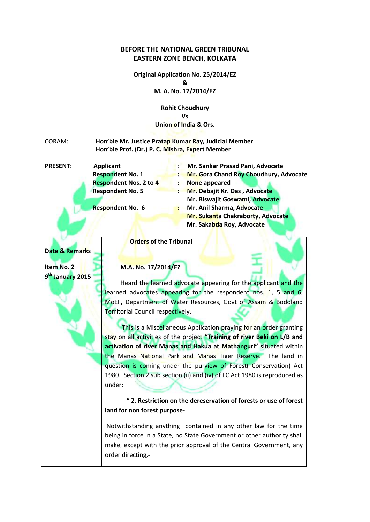## **BEFORE THE NATIONAL GREEN TRIBUNAL EASTERN ZONE BENCH, KOLKATA**

**Original Application No. 25/2014/EZ & M. A. No. 17/2014/EZ**

> **Rohit Choudhury Vs Union of India & Ors.**

## CORAM: **Hon'ble Mr. Justice Pratap Kumar Ray, Judicial Member Hon'ble Prof. (Dr.) P. C. Mishra, Expert Member**

| <b>PRESENT:</b> | <b>Applicant</b>              |                               | Mr. Sankar Prasad Pani, Advocate       |  |
|-----------------|-------------------------------|-------------------------------|----------------------------------------|--|
|                 | <b>Respondent No. 1</b>       |                               | Mr. Gora Chand Roy Choudhury, Advocate |  |
|                 | <b>Respondent Nos. 2 to 4</b> |                               | None appeared                          |  |
|                 | <b>Respondent No. 5</b>       | Mr. Debajit Kr. Das, Advocate |                                        |  |
|                 |                               |                               | Mr. Biswajit Goswami, Advocate         |  |
|                 | <b>Respondent No. 6</b>       |                               | Mr. Anil Sharma, Advocate              |  |
|                 |                               |                               | Mr. Sukanta Chakraborty, Advocate      |  |
|                 |                               |                               | Mr. Sakabda Roy, Advocate              |  |

|                              | <b>Orders of the Tribunal</b>                                             |  |  |  |  |  |
|------------------------------|---------------------------------------------------------------------------|--|--|--|--|--|
| <b>Date &amp; Remarks</b>    |                                                                           |  |  |  |  |  |
|                              |                                                                           |  |  |  |  |  |
| Item No. 2                   | M.A. No. 17/2014/EZ                                                       |  |  |  |  |  |
| 9 <sup>th</sup> January 2015 |                                                                           |  |  |  |  |  |
|                              | Heard the learned advocate appearing for the applicant and the            |  |  |  |  |  |
|                              | learned advocates appearing for the respondent nos. 1, 5 and 6,           |  |  |  |  |  |
|                              | MoEF, Department of Water Resources, Govt of Assam & Bodoland             |  |  |  |  |  |
|                              | Territorial Council respectively.                                         |  |  |  |  |  |
|                              | This is a Miscellaneous Application praying for an order granting         |  |  |  |  |  |
|                              | stay on all activities of the project "Training of river Beki on L/B and  |  |  |  |  |  |
|                              | activation of river Manas and Hakua at Mathanguri" situated within        |  |  |  |  |  |
|                              | the Manas National Park and Manas Tiger Reserve. The land in              |  |  |  |  |  |
|                              | question is coming under the purview of Forest( Conservation) Act         |  |  |  |  |  |
|                              | 1980. Section 2 sub section (ii) and (iv) of FC Act 1980 is reproduced as |  |  |  |  |  |
|                              | under:                                                                    |  |  |  |  |  |
|                              | " 2. Restriction on the dereservation of forests or use of forest         |  |  |  |  |  |
|                              | land for non forest purpose-                                              |  |  |  |  |  |
|                              |                                                                           |  |  |  |  |  |
|                              | Notwithstanding anything contained in any other law for the time          |  |  |  |  |  |
|                              | being in force in a State, no State Government or other authority shall   |  |  |  |  |  |
|                              | make, except with the prior approval of the Central Government, any       |  |  |  |  |  |
|                              | order directing,-                                                         |  |  |  |  |  |
|                              |                                                                           |  |  |  |  |  |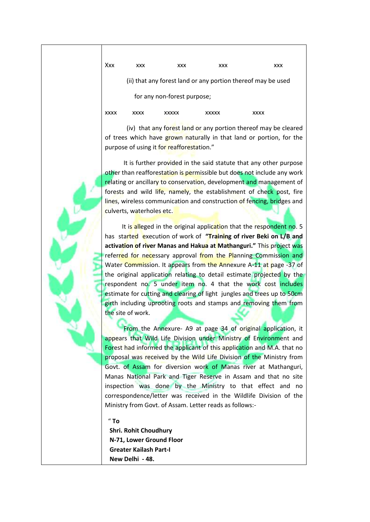Xxx xxx xxx xxx xxx xxx

(ii) that any forest land or any portion thereof may be used

for any non-forest purpose;

|  | xxxx | <b>YXXX</b> | XXXXX | xxxxx | <b>XXXX</b> |
|--|------|-------------|-------|-------|-------------|
|--|------|-------------|-------|-------|-------------|

 (iv) that any forest land or any portion thereof may be cleared of trees which have grown naturally in that land or portion, for the purpose of using it for reafforestation."

It is further provided in the said statute that any other purpose other than reafforestation is permissible but does not include any work relating or ancillary to conservation, development and management of forests and wild life, namely, the establishment of check post, fire lines, wireless communication and construction of fencing, bridges and culverts, waterholes etc.

It is alleged in the original application that the respondent no. 5 has started execution of work of **"Training of river Beki on L/B and activation of river Manas and Hakua at Mathanguri."** This project was referred for necessary approval from the Planning Commission and Water Commission. It appears from the Annexure A-11 at page -37 of the original application relating to detail estimate projected by the respondent no. 5 under item no. 4 that the work cost includes estimate for cutting and clearing of light jungles and trees up to 50cm girth including uprooting roots and stamps and removing them from the site of work.

 From the Annexure- A9 at page 34 of original application, it appears that Wild Life Division under Ministry of Environment and Forest had informed the applicant of this application and M.A. that no proposal was received by the Wild Life Division of the Ministry from Govt. of Assam for diversion work of Manas river at Mathanguri, Manas National Park and Tiger Reserve in Assam and that no site inspection was done by the Ministry to that effect and no correspondence/letter was received in the Wildlife Division of the Ministry from Govt. of Assam. Letter reads as follows:-

" **To**

 **Shri. Rohit Choudhury N-71, Lower Ground Floor Greater Kailash Part-I New Delhi - 48.**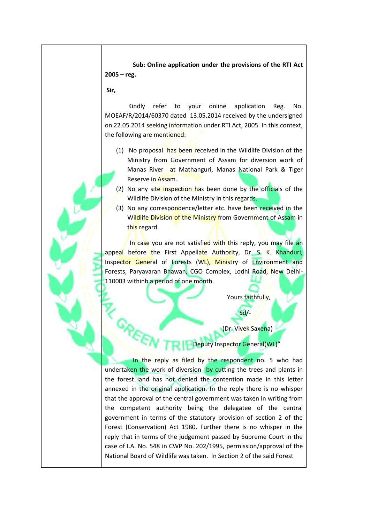**Sub: Online application under the provisions of the RTI Act 2005 – reg.**

**Sir,**

Kindly refer to your online application Reg. No. MOEAF/R/2014/60370 dated 13.05.2014 received by the undersigned on 22.05.2014 seeking information under RTI Act, 2005. In this context, the following are mentioned:

- (1) No proposal has been received in the Wildlife Division of the Ministry from Government of Assam for diversion work of Manas River at Mathanguri, Manas National Park & Tiger Reserve in Assam.
- (2) No any site inspection has been done by the officials of the Wildlife Division of the Ministry in this regards.
- (3) No any correspondence/letter etc. have been received in the Wildlife Division of the Ministry from Government of Assam in this regard.

In case you are not satisfied with this reply, you may file an appeal before the First Appellate Authority, Dr. S. K. Khanduri, Inspector General of Forests (WL), Ministry of Environment and Forests, Paryavaran Bhawan, CGO Complex, Lodhi Road, New Delhi-110003 withinb a period of one month.

Yours faithfully,

Sd/-

(Dr. Vivek Saxena)

## Deputy Inspector General(WL)"

In the reply as filed by the respondent no. 5 who had undertaken the work of diversion by cutting the trees and plants in the forest land has not denied the contention made in this letter annexed in the original application. In the reply there is no whisper that the approval of the central government was taken in writing from the competent authority being the delegatee of the central government in terms of the statutory provision of section 2 of the Forest (Conservation) Act 1980. Further there is no whisper in the reply that in terms of the judgement passed by Supreme Court in the case of I.A. No. 548 in CWP No. 202/1995, permission/approval of the National Board of Wildlife was taken. In Section 2 of the said Forest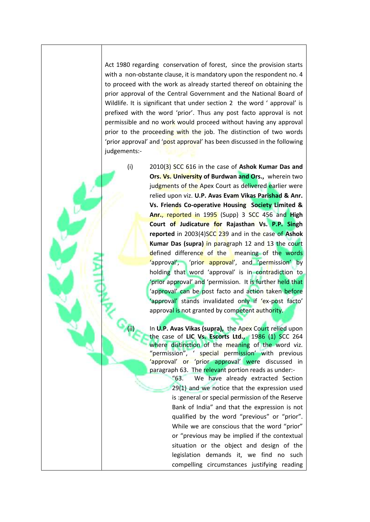Act 1980 regarding conservation of forest, since the provision starts with a non-obstante clause, it is mandatory upon the respondent no. 4 to proceed with the work as already started thereof on obtaining the prior approval of the Central Government and the National Board of Wildlife. It is significant that under section 2 the word ' approval' is prefixed with the word 'prior'. Thus any post facto approval is not permissible and no work would proceed without having any approval prior to the proceeding with the job. The distinction of two words 'prior approval' and 'post approval' has been discussed in the following judgements:-

(i) 2010(3) SCC 616 in the case of **Ashok Kumar Das and Ors. Vs. University of Burdwan and Ors.,** wherein two judgments of the Apex Court as delivered earlier were relied upon viz. **U.P. Avas Evam Vikas Parishad & Anr. Vs. Friends Co-operative Housing Society Limited & Anr.**, reported in 1995 (Supp) 3 SCC 456 and **High Court of Judicature for Rajasthan Vs. P.P. Singh reported** in 2003(4)SCC 239 and in the case of **Ashok Kumar Das (supra)** in paragraph 12 and 13 the court defined difference of the meaning of the words 'approval', 'prior approval', and 'permission' by holding that word 'approval' is in contradiction to 'prior approval' and 'permission. It is further held that 'approval' can be post facto and action taken before 'approval' stands invalidated only if 'ex-post facto' approval is not granted by competent authority.

> In **U.P. Avas Vikas (supra),** the Apex Court relied upon the case of **LIC Vs. Escorts Ltd.,** 1986 (1) SCC 264 where distinction of the meaning of the word viz. "permission", ' special permission' with previous 'approval' or 'prior approval' were discussed in paragraph 63. The relevant portion reads as under:-

> > "63. We have already extracted Section 29(1) and we notice that the expression used is :general or special permission of the Reserve Bank of India" and that the expression is not qualified by the word "previous" or "prior". While we are conscious that the word "prior" or "previous may be implied if the contextual situation or the object and design of the legislation demands it, we find no such compelling circumstances justifying reading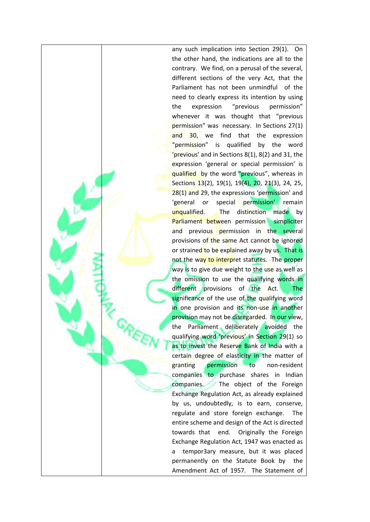any such implication into Section 29(1). On the other hand, the indications are all to the contrary. We find, on a perusal of the several, different sections of the very Act, that the Parliament has not been unmindful of the need to clearly express its intention by using the expression "previous permission" whenever it was thought that "previous permission" was necessary. In Sections 27(1) and 30, we find that the expression "permission" is qualified by the word 'previous' and in Sections 8(1), 8(2) and 31, the expression 'general or special permission' is qualified by the word "previous", whereas in Sections 13(2), 19(1), 19(4), 20, 21(3), 24, 25, 28(1) and 29, the expressions 'permission' and 'general or special permission' remain unqualified. The distinction made by **Parliament between permission** simpliciter and previous permission in the several provisions of the same Act cannot be ignored or strained to be explained away by us. That is not the way to interpret statutes. The proper way is to give due weight to the use as well as the omission to use the qualifying words in different provisions of the Act. The significance of the use of the qualifying word in one provision and its non-use in another provision may not be disregarded. In our view, the Parliament deliberately avoided the qualifying word 'previous' in Section 29(1) so as to invest the Reserve Bank of India with a certain degree of elasticity in the matter of granting permission to non-resident companies to purchase shares in Indian companies. The object of the Foreign Exchange Regulation Act, as already explained by us, undoubtedly, is to earn, conserve, regulate and store foreign exchange. The entire scheme and design of the Act is directed towards that end. Originally the Foreign Exchange Regulation Act, 1947 was enacted as a tempor3ary measure, but it was placed permanently on the Statute Book by the Amendment Act of 1957. The Statement of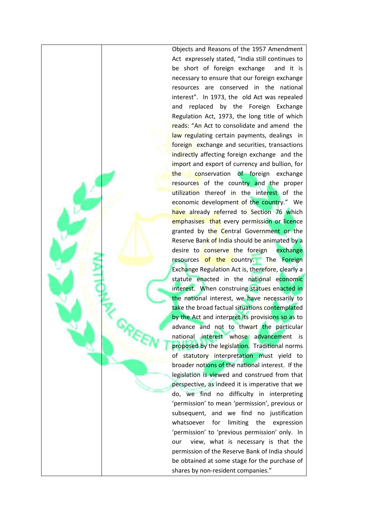Objects and Reasons of the 1957 Amendment Act expressely stated, "India still continues to be short of foreign exchange and it is necessary to ensure that our foreign exchange resources are conserved in the national interest". In 1973, the old Act was repealed and replaced by the Foreign Exchange Regulation Act, 1973, the long title of which reads: "An Act to consolidate and amend the law regulating certain payments, dealings in foreign exchange and securities, transactions indirectly affecting foreign exchange and the import and export of currency and bullion, for the conservation of foreign exchange resources of the country and the proper utilization thereof in the interest of the economic development of the country." We have already referred to Section 76 which emphasises that every permission or licence granted by the Central Government or the Reserve Bank of India should be animated by a desire to conserve the foreign exchange resources of the country. The Foreign Exchange Regulation Act is, therefore, clearly a statute enacted in the national economic interest. When construing statues enacted in the national interest, we have necessarily to take the broad factual situations contemplated by the Act and interpret its provisions so as to advance and not to thwart the particular national interest whose advancement is proposed by the legislation. Traditional norms of statutory interpretation must yield to broader notions of the national interest. If the legislation is viewed and construed from that perspective, as indeed it is imperative that we do, we find no difficulty in interpreting 'permission' to mean 'permission', previous or subsequent, and we find no justification whatsoever for limiting the expression 'permission' to 'previous permission' only. In our view, what is necessary is that the permission of the Reserve Bank of India should be obtained at some stage for the purchase of shares by non-resident companies."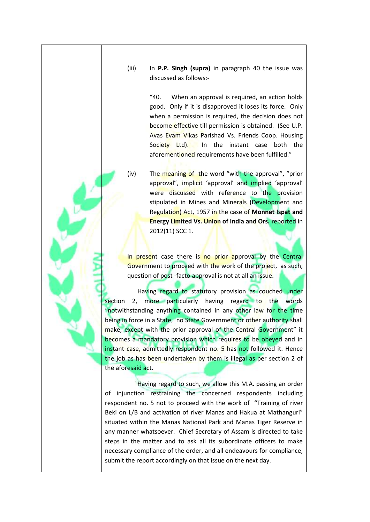(iii) In **P.P. Singh (supra)** in paragraph 40 the issue was discussed as follows:-

> "40. When an approval is required, an action holds good. Only if it is disapproved it loses its force. Only when a permission is required, the decision does not become effective till permission is obtained. (See U.P. Avas Evam Vikas Parishad Vs. Friends Coop. Housing Society Ltd). In the instant case both the aforementioned requirements have been fulfilled."

(iv) The meaning of the word "with the approval", "prior approval", implicit 'approval' and implied 'approval' were discussed with reference to the provision stipulated in Mines and Minerals (Development and Regulation) Act, 1957 in the case of **Monnet Ispat and Energy Limited Vs. Union of India and Ors. r**eported in 2012(11) SCC 1.

In present case there is no prior approval by the Central Government to proceed with the work of the project, as such, question of post -facto approval is not at all an issue.

 Having regard to statutory provision as couched under section 2, more particularly having regard to the words "notwithstanding anything contained in any other law for the time being in force in a State, no State Government or other authority shall make, except with the prior approval of the Central Government" it becomes a mandatory provision which requires to be obeyed and in instant case, admittedly respondent no. 5 has not followed it. Hence the job as has been undertaken by them is illegal as per section 2 of the aforesaid act.

 Having regard to such, we allow this M.A. passing an order of injunction restraining the concerned respondents including respondent no. 5 not to proceed with the work of **"**Training of river Beki on L/B and activation of river Manas and Hakua at Mathanguri" situated within the Manas National Park and Manas Tiger Reserve in any manner whatsoever. Chief Secretary of Assam is directed to take steps in the matter and to ask all its subordinate officers to make necessary compliance of the order, and all endeavours for compliance, submit the report accordingly on that issue on the next day.